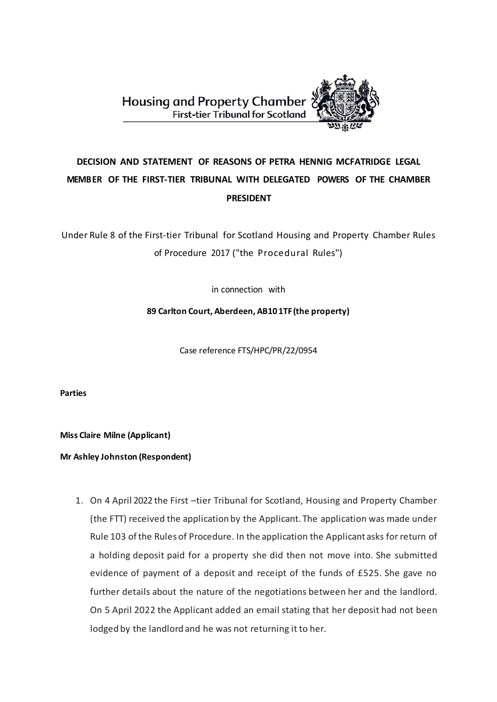

# **DECISION AND STATEMENT OF REASONS OF PETRA HENNIG MCFATRIDGE LEGAL MEMBER OF THE FIRST-TIER TRIBUNAL WITH DELEGATED POWERS OF THE CHAMBER PRESIDENT**

Under Rule 8 of the First-tier Tribunal for Scotland Housing and Property Chamber Rules of Procedure 2017 ("the Procedural Rules")

in connection with

**89 Carlton Court, Aberdeen, AB10 1TF(the property)**

Case reference FTS/HPC/PR/22/0954

**Parties**

**Miss Claire Milne (Applicant)**

**Mr Ashley Johnston (Respondent)**

1. On 4 April 2022 the First –tier Tribunal for Scotland, Housing and Property Chamber (the FTT) received the application by the Applicant. The application was made under Rule 103 of the Rules of Procedure. In the application the Applicant asks for return of a holding deposit paid for a property she did then not move into. She submitted evidence of payment of a deposit and receipt of the funds of £525. She gave no further details about the nature of the negotiations between her and the landlord. On 5 April 2022 the Applicant added an email stating that her deposit had not been lodged by the landlord and he was not returning it to her.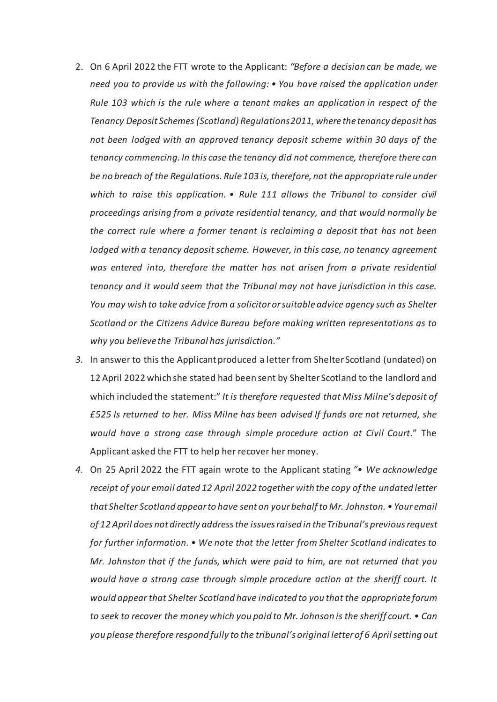- 2. On 6 April 2022 the FTT wrote to the Applicant: *"Before a decision can be made, we need you to provide us with the following: • You have raised the application under Rule 103 which is the rule where a tenant makes an application in respect of the Tenancy Deposit Schemes (Scotland) Regulations 2011, where the tenancy deposit has not been lodged with an approved tenancy deposit scheme within 30 days of the tenancy commencing. In this case the tenancy did not commence, therefore there can be no breach of the Regulations. Rule 103 is, therefore, not the appropriate rule under which to raise this application. • Rule 111 allows the Tribunal to consider civil proceedings arising from a private residential tenancy, and that would normally be the correct rule where a former tenant is reclaiming a deposit that has not been lodged with a tenancy deposit scheme. However, in this case, no tenancy agreement was entered into, therefore the matter has not arisen from a private residential tenancy and it would seem that the Tribunal may not have jurisdiction in this case. You may wish to take advice from a solicitor or suitable advice agency such as Shelter Scotland or the Citizens Advice Bureau before making written representations as to why you believe the Tribunal has jurisdiction."*
- *3.* In answer to this the Applicant produced a letter from Shelter Scotland (undated) on 12 April 2022 which she stated had been sent by Shelter Scotland to the landlord and which included the statement:" *It is therefore requested that Miss Milne's deposit of £525 Is returned to her. Miss Milne has been advised If funds are not returned, she would have a strong case through simple procedure action at Civil Court*." The Applicant asked the FTT to help her recover her money.
- *4.* On 25 April 2022 the FTT again wrote to the Applicant stating *"• We acknowledge receipt of your email dated 12 April 2022 together with the copy of the undated letter that Shelter Scotland appear to have sent on your behalf to Mr. Johnston. • Your email of 12 April does not directly address the issues raised in the Tribunal's previous request for further information. • We note that the letter from Shelter Scotland indicates to Mr. Johnston that if the funds, which were paid to him, are not returned that you would have a strong case through simple procedure action at the sheriff court. It would appear that Shelter Scotland have indicated to you that the appropriate forum to seek to recover the money which you paid to Mr. Johnson is the sheriff court. • Can you please therefore respond fully to the tribunal's original letter of 6 April setting out*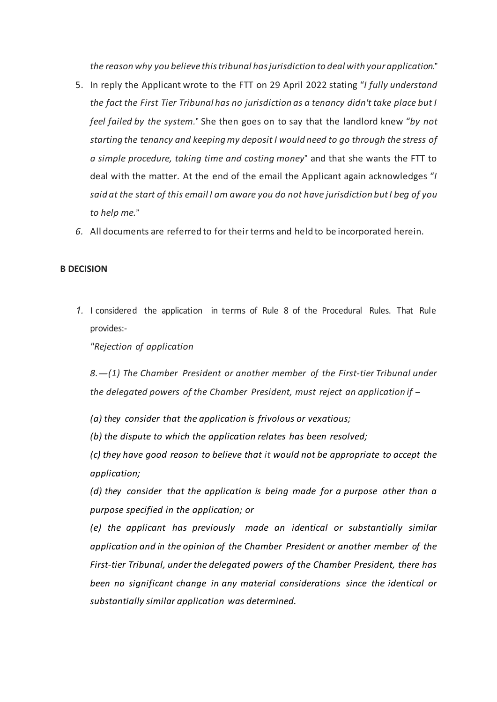*the reason why you believe this tribunal has jurisdiction to deal with your application.*"

- 5. In reply the Applicant wrote to the FTT on 29 April 2022 stating "*I fully understand the fact the First Tier Tribunal has no jurisdiction as a tenancy didn't take place but I feel failed by the system.*" She then goes on to say that the landlord knew "*by not starting the tenancy and keeping my deposit I would need to go through the stress of a simple procedure, taking time and costing money*" and that she wants the FTT to deal with the matter. At the end of the email the Applicant again acknowledges "*I said at the start of this email I am aware you do not have jurisdiction but I beg of you to help me.*"
- *6.* All documents are referred to for their terms and held to be incorporated herein.

## **B DECISION**

*1.* I considered the application in terms of Rule 8 of the Procedural Rules. That Rule provides:-

*"Rejection of application*

*8.-(1) The Chamber President or another member of the First-tier Tribunal under the delegated powers of the Chamber President, must reject an application if -*

*(a) they consider that the application is frivolous or vexatious;*

*(b) the dispute to which the application relates has been resolved;*

*(c) they have good reason to believe that it would not be appropriate to accept the application;*

*(d) they consider that the application is being made for a purpose other than a purpose specified in the application; or*

*(e) the applicant has previously made an identical or substantially similar application and in the opinion of the Chamber President or another member of the First-tier Tribunal, under the delegated powers of the Chamber President, there has been no significant change in any material considerations since the identical or substantially similar application was determined.*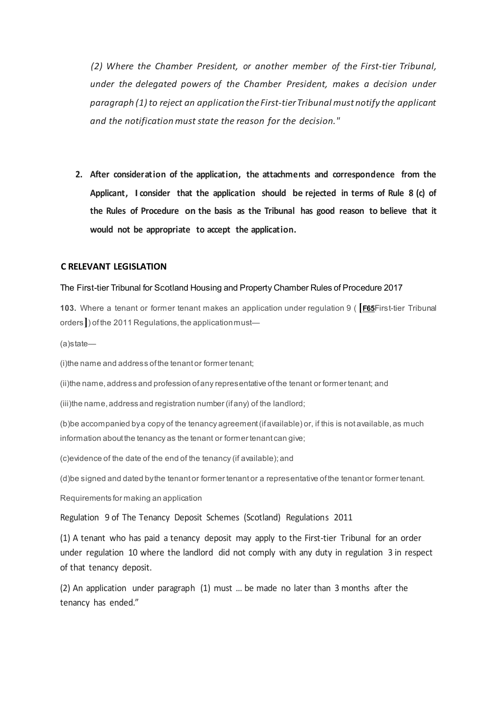*(2) Where the Chamber President, or another member of the First-tier Tribunal, under the delegated powers of the Chamber President, makes a decision under paragraph (1)to reject an application the First-tier Tribunal must notify the applicant and the notificationmust state the reason for the decision."*

**2. After consideration of the application, the attachments and correspondence from the Applicant, I consider that the application should be rejected in terms of Rule 8 (c) of the Rules of Procedure on the basis as the Tribunal has good reason to believe that it would not be appropriate to accept the application.** 

## **C RELEVANT LEGISLATION**

#### The First-tier Tribunal for Scotland Housing and Property Chamber Rules of Procedure 2017

**103.** Where a tenant or former tenant makes an application under regulation 9 ( **[[F65](https://www.legislation.gov.uk/ssi/2017/328/schedule#commentary-key-086a07f8045e28db04ae91b5517c12f6)**First-tier Tribunal orders**]**) of the 2011 Regulations, the application must—

(a)state—

(i)the name and address of the tenant or former tenant;

(ii)the name, address and profession of any representative of the tenant or former tenant; and

(iii)the name, address and registration number (if any) of the landlord;

(b)be accompanied by a copy of the tenancy agreement (if available) or, if this is not available, as much information about the tenancy as the tenant or former tenant can give;

(c)evidence of the date of the end of the tenancy (if available); and

(d)be signed and dated by the tenant or former tenant or a representative of the tenant or former tenant.

Requirements for making an application

Regulation 9 of The Tenancy Deposit Schemes (Scotland) Regulations 2011

(1) A tenant who has paid a tenancy deposit may apply to the First-tier Tribunal for an order under regulation 10 where the landlord did not comply with any duty in regulation 3 in respect of that tenancy deposit.

(2) An application under paragraph (1) must … be made no later than 3 months after the tenancy has ended."